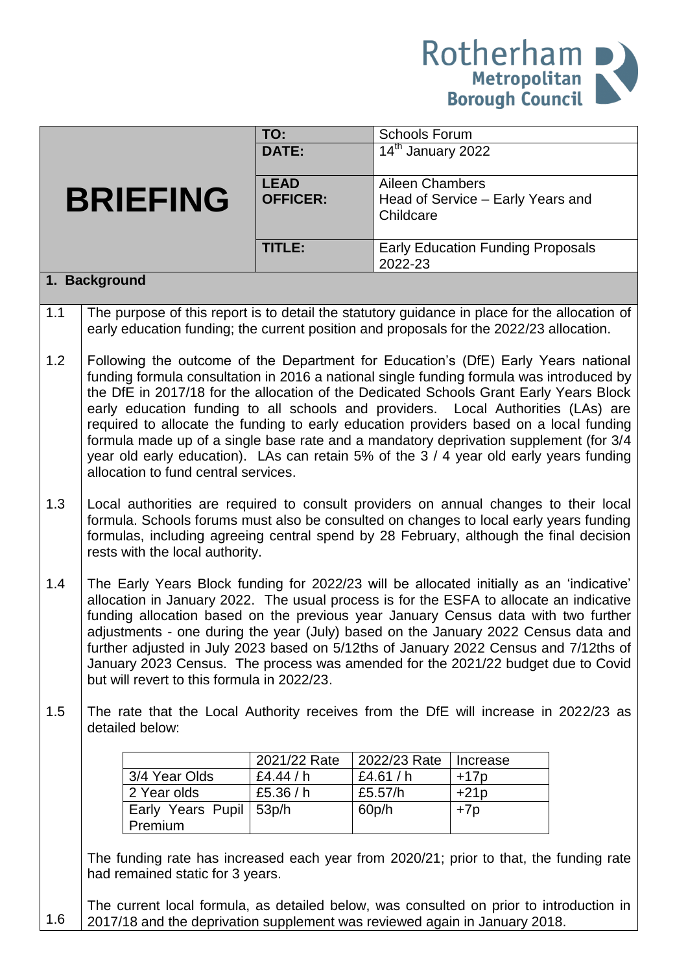

|     |                                                                                                                                                                                          | TO:             | <b>Schools Forum</b>                       |                                          |  |  |
|-----|------------------------------------------------------------------------------------------------------------------------------------------------------------------------------------------|-----------------|--------------------------------------------|------------------------------------------|--|--|
|     |                                                                                                                                                                                          | <b>DATE:</b>    | $\overline{14}$ <sup>th</sup> January 2022 |                                          |  |  |
|     |                                                                                                                                                                                          |                 |                                            |                                          |  |  |
|     |                                                                                                                                                                                          | <b>LEAD</b>     | <b>Aileen Chambers</b>                     |                                          |  |  |
|     | <b>BRIEFING</b>                                                                                                                                                                          | <b>OFFICER:</b> | Childcare                                  | Head of Service - Early Years and        |  |  |
|     |                                                                                                                                                                                          |                 |                                            |                                          |  |  |
|     |                                                                                                                                                                                          | TITLE:          |                                            | <b>Early Education Funding Proposals</b> |  |  |
|     |                                                                                                                                                                                          |                 | 2022-23                                    |                                          |  |  |
|     | 1. Background                                                                                                                                                                            |                 |                                            |                                          |  |  |
| 1.1 | The purpose of this report is to detail the statutory guidance in place for the allocation of<br>early education funding; the current position and proposals for the 2022/23 allocation. |                 |                                            |                                          |  |  |
| 1.2 | Following the outcome of the Department for Education's (DfE) Early Years national                                                                                                       |                 |                                            |                                          |  |  |
|     | funding formula consultation in 2016 a national single funding formula was introduced by                                                                                                 |                 |                                            |                                          |  |  |
|     | the DfE in 2017/18 for the allocation of the Dedicated Schools Grant Early Years Block                                                                                                   |                 |                                            |                                          |  |  |
|     | early education funding to all schools and providers. Local Authorities (LAs) are                                                                                                        |                 |                                            |                                          |  |  |
|     | required to allocate the funding to early education providers based on a local funding                                                                                                   |                 |                                            |                                          |  |  |
|     | formula made up of a single base rate and a mandatory deprivation supplement (for 3/4<br>year old early education). LAs can retain 5% of the 3 / 4 year old early years funding          |                 |                                            |                                          |  |  |
|     | allocation to fund central services.                                                                                                                                                     |                 |                                            |                                          |  |  |
|     |                                                                                                                                                                                          |                 |                                            |                                          |  |  |
| 1.3 | Local authorities are required to consult providers on annual changes to their local                                                                                                     |                 |                                            |                                          |  |  |
|     | formula. Schools forums must also be consulted on changes to local early years funding                                                                                                   |                 |                                            |                                          |  |  |
|     | formulas, including agreeing central spend by 28 February, although the final decision                                                                                                   |                 |                                            |                                          |  |  |
|     | rests with the local authority.                                                                                                                                                          |                 |                                            |                                          |  |  |
| 1.4 | The Early Years Block funding for 2022/23 will be allocated initially as an 'indicative'                                                                                                 |                 |                                            |                                          |  |  |
|     | allocation in January 2022. The usual process is for the ESFA to allocate an indicative                                                                                                  |                 |                                            |                                          |  |  |
|     | funding allocation based on the previous year January Census data with two further                                                                                                       |                 |                                            |                                          |  |  |
|     | adjustments - one during the year (July) based on the January 2022 Census data and                                                                                                       |                 |                                            |                                          |  |  |
|     | further adjusted in July 2023 based on 5/12ths of January 2022 Census and 7/12ths of                                                                                                     |                 |                                            |                                          |  |  |
|     | January 2023 Census. The process was amended for the 2021/22 budget due to Covid                                                                                                         |                 |                                            |                                          |  |  |
|     | but will revert to this formula in 2022/23.                                                                                                                                              |                 |                                            |                                          |  |  |
| 1.5 | The rate that the Local Authority receives from the DfE will increase in 2022/23 as                                                                                                      |                 |                                            |                                          |  |  |
|     | detailed below:                                                                                                                                                                          |                 |                                            |                                          |  |  |
|     |                                                                                                                                                                                          |                 |                                            |                                          |  |  |
|     |                                                                                                                                                                                          | 2021/22 Rate    | 2022/23 Rate                               | Increase                                 |  |  |
|     | 3/4 Year Olds                                                                                                                                                                            | £4.44 / $h$     | £4.61 / $h$                                | $+17p$                                   |  |  |
|     | 2 Year olds                                                                                                                                                                              | £5.36 / h       | £5.57/h                                    | $+21p$                                   |  |  |
|     | Early Years Pupil                                                                                                                                                                        | 53p/h           | 60p/h                                      | $+7p$                                    |  |  |
|     | Premium                                                                                                                                                                                  |                 |                                            |                                          |  |  |
|     | The funding rate has increased each year from 2020/21; prior to that, the funding rate                                                                                                   |                 |                                            |                                          |  |  |
|     | had remained static for 3 years.                                                                                                                                                         |                 |                                            |                                          |  |  |
|     |                                                                                                                                                                                          |                 |                                            |                                          |  |  |
|     | The current local formula, as detailed below, was consulted on prior to introduction in                                                                                                  |                 |                                            |                                          |  |  |
| 1.6 | 2017/18 and the deprivation supplement was reviewed again in January 2018.                                                                                                               |                 |                                            |                                          |  |  |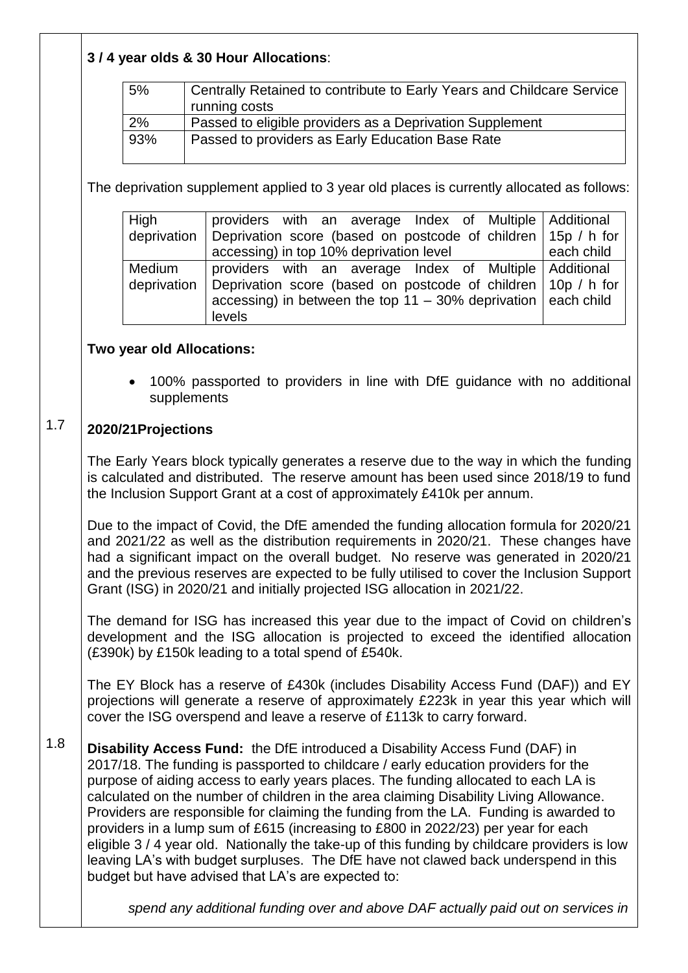| 3/4 year olds & 30 Hour Allocations: |
|--------------------------------------|
|                                      |

| 5%  | Centrally Retained to contribute to Early Years and Childcare Service |
|-----|-----------------------------------------------------------------------|
|     | running costs                                                         |
| 2%  | Passed to eligible providers as a Deprivation Supplement              |
| 93% | Passed to providers as Early Education Base Rate                      |

The deprivation supplement applied to 3 year old places is currently allocated as follows:

| High   | providers with an average Index of Multiple Additional                       |            |
|--------|------------------------------------------------------------------------------|------------|
|        | deprivation Deprivation score (based on postcode of children 15p / h for     |            |
|        | accessing) in top 10% deprivation level                                      | each child |
| Medium | providers with an average Index of Multiple   Additional                     |            |
|        | deprivation   Deprivation score (based on postcode of children   10p / h for |            |
|        | accessing) in between the top 11 - 30% deprivation $ $ each child            |            |
|        | levels                                                                       |            |

## **Two year old Allocations:**

 100% passported to providers in line with DfE guidance with no additional supplements

## 1.7 **2020/21Projections**

The Early Years block typically generates a reserve due to the way in which the funding is calculated and distributed. The reserve amount has been used since 2018/19 to fund the Inclusion Support Grant at a cost of approximately £410k per annum.

Due to the impact of Covid, the DfE amended the funding allocation formula for 2020/21 and 2021/22 as well as the distribution requirements in 2020/21. These changes have had a significant impact on the overall budget. No reserve was generated in 2020/21 and the previous reserves are expected to be fully utilised to cover the Inclusion Support Grant (ISG) in 2020/21 and initially projected ISG allocation in 2021/22.

The demand for ISG has increased this year due to the impact of Covid on children's development and the ISG allocation is projected to exceed the identified allocation (£390k) by £150k leading to a total spend of £540k.

The EY Block has a reserve of £430k (includes Disability Access Fund (DAF)) and EY projections will generate a reserve of approximately £223k in year this year which will cover the ISG overspend and leave a reserve of £113k to carry forward.

1.8 **Disability Access Fund:** the DfE introduced a Disability Access Fund (DAF) in 2017/18. The funding is passported to childcare / early education providers for the purpose of aiding access to early years places. The funding allocated to each LA is calculated on the number of children in the area claiming Disability Living Allowance. Providers are responsible for claiming the funding from the LA. Funding is awarded to providers in a lump sum of £615 (increasing to £800 in 2022/23) per year for each eligible 3 / 4 year old. Nationally the take-up of this funding by childcare providers is low leaving LA's with budget surpluses. The DfE have not clawed back underspend in this budget but have advised that LA's are expected to:

*spend any additional funding over and above DAF actually paid out on services in*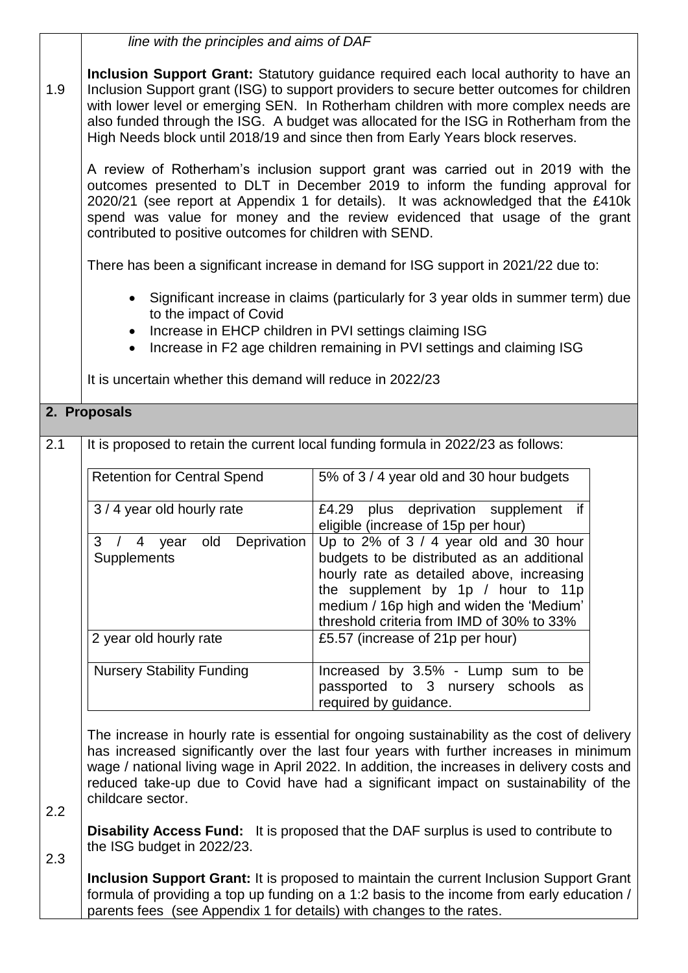|                                                                                                                                                                                                                                                                     | line with the principles and aims of DAF                                                                                                                                                                                                                                                                                                                                                                                                            |                                                                                                                                                                                                                                                                  |  |  |  |  |  |
|---------------------------------------------------------------------------------------------------------------------------------------------------------------------------------------------------------------------------------------------------------------------|-----------------------------------------------------------------------------------------------------------------------------------------------------------------------------------------------------------------------------------------------------------------------------------------------------------------------------------------------------------------------------------------------------------------------------------------------------|------------------------------------------------------------------------------------------------------------------------------------------------------------------------------------------------------------------------------------------------------------------|--|--|--|--|--|
| 1.9                                                                                                                                                                                                                                                                 | Inclusion Support Grant: Statutory guidance required each local authority to have an<br>Inclusion Support grant (ISG) to support providers to secure better outcomes for children<br>with lower level or emerging SEN. In Rotherham children with more complex needs are<br>also funded through the ISG. A budget was allocated for the ISG in Rotherham from the<br>High Needs block until 2018/19 and since then from Early Years block reserves. |                                                                                                                                                                                                                                                                  |  |  |  |  |  |
|                                                                                                                                                                                                                                                                     | A review of Rotherham's inclusion support grant was carried out in 2019 with the<br>outcomes presented to DLT in December 2019 to inform the funding approval for<br>2020/21 (see report at Appendix 1 for details). It was acknowledged that the £410k<br>spend was value for money and the review evidenced that usage of the grant<br>contributed to positive outcomes for children with SEND.                                                   |                                                                                                                                                                                                                                                                  |  |  |  |  |  |
|                                                                                                                                                                                                                                                                     | There has been a significant increase in demand for ISG support in 2021/22 due to:                                                                                                                                                                                                                                                                                                                                                                  |                                                                                                                                                                                                                                                                  |  |  |  |  |  |
|                                                                                                                                                                                                                                                                     | Significant increase in claims (particularly for 3 year olds in summer term) due<br>to the impact of Covid<br>Increase in EHCP children in PVI settings claiming ISG<br>Increase in F2 age children remaining in PVI settings and claiming ISG<br>$\bullet$                                                                                                                                                                                         |                                                                                                                                                                                                                                                                  |  |  |  |  |  |
|                                                                                                                                                                                                                                                                     | It is uncertain whether this demand will reduce in 2022/23                                                                                                                                                                                                                                                                                                                                                                                          |                                                                                                                                                                                                                                                                  |  |  |  |  |  |
|                                                                                                                                                                                                                                                                     | 2. Proposals                                                                                                                                                                                                                                                                                                                                                                                                                                        |                                                                                                                                                                                                                                                                  |  |  |  |  |  |
| 2.1                                                                                                                                                                                                                                                                 |                                                                                                                                                                                                                                                                                                                                                                                                                                                     | It is proposed to retain the current local funding formula in 2022/23 as follows:                                                                                                                                                                                |  |  |  |  |  |
|                                                                                                                                                                                                                                                                     | <b>Retention for Central Spend</b>                                                                                                                                                                                                                                                                                                                                                                                                                  | 5% of 3/4 year old and 30 hour budgets                                                                                                                                                                                                                           |  |  |  |  |  |
|                                                                                                                                                                                                                                                                     | 3 / 4 year old hourly rate                                                                                                                                                                                                                                                                                                                                                                                                                          | plus deprivation supplement<br>if<br>£4.29<br>eligible (increase of 15p per hour)                                                                                                                                                                                |  |  |  |  |  |
|                                                                                                                                                                                                                                                                     | old<br>Deprivation<br>3<br>$\overline{4}$<br>$\sqrt{2}$<br>year<br>Supplements                                                                                                                                                                                                                                                                                                                                                                      | Up to 2% of $3/4$ year old and 30 hour<br>budgets to be distributed as an additional<br>hourly rate as detailed above, increasing<br>the supplement by 1p / hour to 11p<br>medium / 16p high and widen the 'Medium'<br>threshold criteria from IMD of 30% to 33% |  |  |  |  |  |
|                                                                                                                                                                                                                                                                     | 2 year old hourly rate                                                                                                                                                                                                                                                                                                                                                                                                                              | £5.57 (increase of 21p per hour)                                                                                                                                                                                                                                 |  |  |  |  |  |
|                                                                                                                                                                                                                                                                     | <b>Nursery Stability Funding</b>                                                                                                                                                                                                                                                                                                                                                                                                                    | Increased by 3.5% - Lump sum to<br>be<br>passported to 3 nursery schools<br>as<br>required by guidance.                                                                                                                                                          |  |  |  |  |  |
| 2.2                                                                                                                                                                                                                                                                 | The increase in hourly rate is essential for ongoing sustainability as the cost of delivery<br>has increased significantly over the last four years with further increases in minimum<br>wage / national living wage in April 2022. In addition, the increases in delivery costs and<br>reduced take-up due to Covid have had a significant impact on sustainability of the                                                                         |                                                                                                                                                                                                                                                                  |  |  |  |  |  |
| <b>Disability Access Fund:</b> It is proposed that the DAF surplus is used to contribute to<br>the ISG budget in 2022/23.<br>2.3                                                                                                                                    |                                                                                                                                                                                                                                                                                                                                                                                                                                                     |                                                                                                                                                                                                                                                                  |  |  |  |  |  |
| <b>Inclusion Support Grant:</b> It is proposed to maintain the current Inclusion Support Grant<br>formula of providing a top up funding on a 1:2 basis to the income from early education /<br>parents fees (see Appendix 1 for details) with changes to the rates. |                                                                                                                                                                                                                                                                                                                                                                                                                                                     |                                                                                                                                                                                                                                                                  |  |  |  |  |  |

٦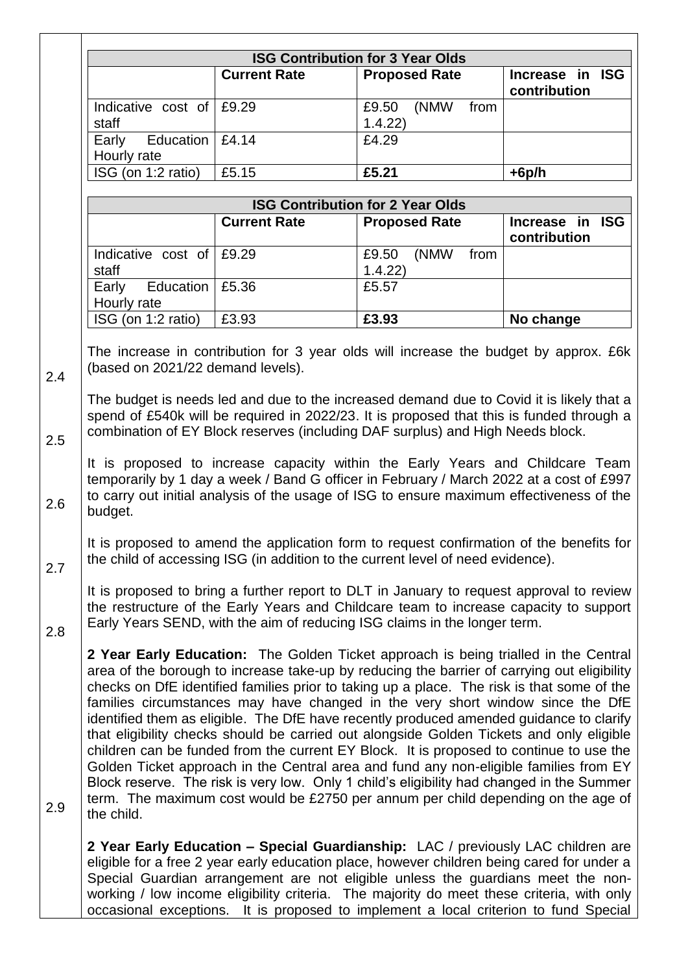|                                   |                     | <b>ISG Contribution for 3 Year Olds</b>                                                                                                                                                                                                                                                                                                                                                                                                                                                                                                                                                                                                                                                                                                                                                                                                                                                                                         |                                 |
|-----------------------------------|---------------------|---------------------------------------------------------------------------------------------------------------------------------------------------------------------------------------------------------------------------------------------------------------------------------------------------------------------------------------------------------------------------------------------------------------------------------------------------------------------------------------------------------------------------------------------------------------------------------------------------------------------------------------------------------------------------------------------------------------------------------------------------------------------------------------------------------------------------------------------------------------------------------------------------------------------------------|---------------------------------|
|                                   | <b>Current Rate</b> | <b>Proposed Rate</b>                                                                                                                                                                                                                                                                                                                                                                                                                                                                                                                                                                                                                                                                                                                                                                                                                                                                                                            | Increase in ISG                 |
|                                   |                     |                                                                                                                                                                                                                                                                                                                                                                                                                                                                                                                                                                                                                                                                                                                                                                                                                                                                                                                                 | contribution                    |
| Indicative cost of                | £9.29               | (NMW<br>from<br>£9.50                                                                                                                                                                                                                                                                                                                                                                                                                                                                                                                                                                                                                                                                                                                                                                                                                                                                                                           |                                 |
| staff                             |                     | 1.4.22                                                                                                                                                                                                                                                                                                                                                                                                                                                                                                                                                                                                                                                                                                                                                                                                                                                                                                                          |                                 |
| Education<br>Early                | £4.14               | £4.29                                                                                                                                                                                                                                                                                                                                                                                                                                                                                                                                                                                                                                                                                                                                                                                                                                                                                                                           |                                 |
| Hourly rate                       |                     |                                                                                                                                                                                                                                                                                                                                                                                                                                                                                                                                                                                                                                                                                                                                                                                                                                                                                                                                 |                                 |
| ISG (on 1:2 ratio)                | £5.15               | £5.21                                                                                                                                                                                                                                                                                                                                                                                                                                                                                                                                                                                                                                                                                                                                                                                                                                                                                                                           | $+6p/h$                         |
|                                   |                     |                                                                                                                                                                                                                                                                                                                                                                                                                                                                                                                                                                                                                                                                                                                                                                                                                                                                                                                                 |                                 |
|                                   |                     | <b>ISG Contribution for 2 Year Olds</b>                                                                                                                                                                                                                                                                                                                                                                                                                                                                                                                                                                                                                                                                                                                                                                                                                                                                                         |                                 |
|                                   | <b>Current Rate</b> | <b>Proposed Rate</b>                                                                                                                                                                                                                                                                                                                                                                                                                                                                                                                                                                                                                                                                                                                                                                                                                                                                                                            | Increase in ISG<br>contribution |
| Indicative cost of<br>staff       | £9.29               | (NMW<br>£9.50<br>from<br>1.4.22                                                                                                                                                                                                                                                                                                                                                                                                                                                                                                                                                                                                                                                                                                                                                                                                                                                                                                 |                                 |
| Education<br>Early<br>Hourly rate | £5.36               | £5.57                                                                                                                                                                                                                                                                                                                                                                                                                                                                                                                                                                                                                                                                                                                                                                                                                                                                                                                           |                                 |
| ISG (on 1:2 ratio)                | £3.93               | £3.93                                                                                                                                                                                                                                                                                                                                                                                                                                                                                                                                                                                                                                                                                                                                                                                                                                                                                                                           | No change                       |
| budget.                           |                     | to carry out initial analysis of the usage of ISG to ensure maximum effectiveness of the                                                                                                                                                                                                                                                                                                                                                                                                                                                                                                                                                                                                                                                                                                                                                                                                                                        |                                 |
|                                   |                     | It is proposed to amend the application form to request confirmation of the benefits for<br>the child of accessing ISG (in addition to the current level of need evidence).                                                                                                                                                                                                                                                                                                                                                                                                                                                                                                                                                                                                                                                                                                                                                     |                                 |
|                                   |                     | It is proposed to bring a further report to DLT in January to request approval to review<br>the restructure of the Early Years and Childcare team to increase capacity to support<br>Early Years SEND, with the aim of reducing ISG claims in the longer term.                                                                                                                                                                                                                                                                                                                                                                                                                                                                                                                                                                                                                                                                  |                                 |
| the child.                        |                     | 2 Year Early Education: The Golden Ticket approach is being trialled in the Central<br>area of the borough to increase take-up by reducing the barrier of carrying out eligibility<br>checks on DfE identified families prior to taking up a place. The risk is that some of the<br>families circumstances may have changed in the very short window since the DfE<br>identified them as eligible. The DfE have recently produced amended guidance to clarify<br>that eligibility checks should be carried out alongside Golden Tickets and only eligible<br>children can be funded from the current EY Block. It is proposed to continue to use the<br>Golden Ticket approach in the Central area and fund any non-eligible families from EY<br>Block reserve. The risk is very low. Only 1 child's eligibility had changed in the Summer<br>term. The maximum cost would be £2750 per annum per child depending on the age of |                                 |
|                                   |                     | 2 Year Early Education - Special Guardianship: LAC / previously LAC children are<br>eligible for a free 2 year early education place, however children being cared for under a<br>Special Guardian arrangement are not eligible unless the guardians meet the non-<br>working / low income eligibility criteria. The majority do meet these criteria, with only<br>occasional exceptions. It is proposed to implement a local criterion to fund Special                                                                                                                                                                                                                                                                                                                                                                                                                                                                         |                                 |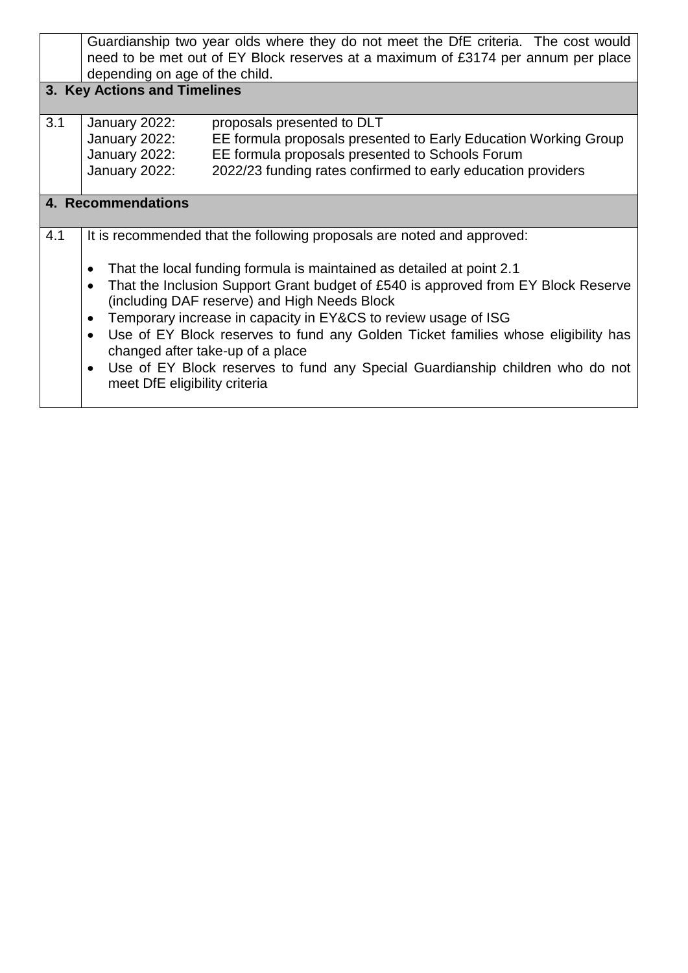| Guardianship two year olds where they do not meet the DfE criteria. The cost would                                                             |                                                                                                                       |  |  |  |  |  |  |
|------------------------------------------------------------------------------------------------------------------------------------------------|-----------------------------------------------------------------------------------------------------------------------|--|--|--|--|--|--|
| need to be met out of EY Block reserves at a maximum of £3174 per annum per place                                                              |                                                                                                                       |  |  |  |  |  |  |
| depending on age of the child.                                                                                                                 |                                                                                                                       |  |  |  |  |  |  |
| 3. Key Actions and Timelines                                                                                                                   |                                                                                                                       |  |  |  |  |  |  |
|                                                                                                                                                |                                                                                                                       |  |  |  |  |  |  |
| January 2022:                                                                                                                                  | proposals presented to DLT                                                                                            |  |  |  |  |  |  |
| January 2022:                                                                                                                                  | EE formula proposals presented to Early Education Working Group                                                       |  |  |  |  |  |  |
| January 2022:                                                                                                                                  | EE formula proposals presented to Schools Forum                                                                       |  |  |  |  |  |  |
| January 2022:                                                                                                                                  | 2022/23 funding rates confirmed to early education providers                                                          |  |  |  |  |  |  |
|                                                                                                                                                |                                                                                                                       |  |  |  |  |  |  |
| 4. Recommendations                                                                                                                             |                                                                                                                       |  |  |  |  |  |  |
|                                                                                                                                                |                                                                                                                       |  |  |  |  |  |  |
|                                                                                                                                                | It is recommended that the following proposals are noted and approved:                                                |  |  |  |  |  |  |
|                                                                                                                                                |                                                                                                                       |  |  |  |  |  |  |
| $\bullet$                                                                                                                                      | That the local funding formula is maintained as detailed at point 2.1                                                 |  |  |  |  |  |  |
| That the Inclusion Support Grant budget of £540 is approved from EY Block Reserve<br>$\bullet$<br>(including DAF reserve) and High Needs Block |                                                                                                                       |  |  |  |  |  |  |
| Temporary increase in capacity in EY&CS to review usage of ISG<br>$\bullet$                                                                    |                                                                                                                       |  |  |  |  |  |  |
|                                                                                                                                                |                                                                                                                       |  |  |  |  |  |  |
| $\bullet$                                                                                                                                      | Use of EY Block reserves to fund any Golden Ticket families whose eligibility has<br>changed after take-up of a place |  |  |  |  |  |  |
|                                                                                                                                                |                                                                                                                       |  |  |  |  |  |  |